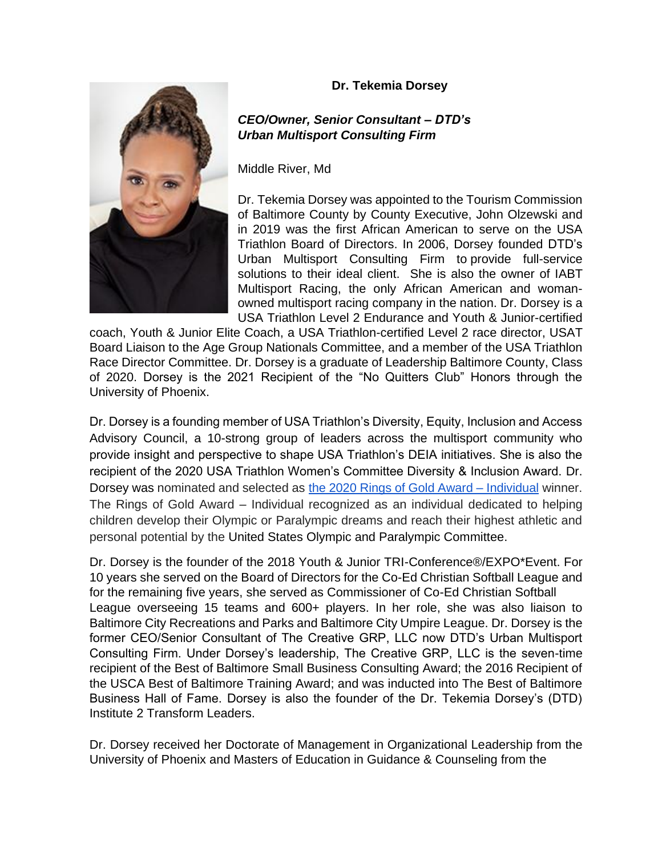## **Dr. Tekemia Dorsey**

## *CEO/Owner, Senior Consultant – DTD's Urban Multisport Consulting Firm*

Middle River, Md

Dr. Tekemia Dorsey was appointed to the Tourism Commission of Baltimore County by County Executive, John Olzewski and in 2019 was the first African American to serve on the USA Triathlon Board of Directors. In 2006, Dorsey founded DTD's Urban Multisport Consulting Firm to provide full-service solutions to their ideal client. She is also the owner of IABT Multisport Racing, the only African American and womanowned multisport racing company in the nation. Dr. Dorsey is a USA Triathlon Level 2 Endurance and Youth & Junior-certified

coach, Youth & Junior Elite Coach, a USA Triathlon-certified Level 2 race director, USAT Board Liaison to the Age Group Nationals Committee, and a member of the USA Triathlon Race Director Committee. Dr. Dorsey is a graduate of Leadership Baltimore County, Class of 2020. Dorsey is the 2021 Recipient of the "No Quitters Club" Honors through the University of Phoenix.

Dr. Dorsey is a founding member of USA Triathlon's Diversity, Equity, Inclusion and Access Advisory Council, a 10-strong group of leaders across the multisport community who provide insight and perspective to shape USA Triathlon's DEIA initiatives. She is also the recipient of the 2020 USA Triathlon Women's Committee Diversity & Inclusion Award. Dr. Dorsey was nominated and selected as [the 2020 Rings of Gold Award –](https://www.teamusa.org/About-the-USOPC/Awards/Community/Rings-of-Gold) Individual winner. The Rings of Gold Award – Individual recognized as an individual dedicated to helping children develop their Olympic or Paralympic dreams and reach their highest athletic and personal potential by the United States Olympic and Paralympic Committee.

Dr. Dorsey is the founder of the 2018 Youth & Junior TRI-Conference®/EXPO\*Event. For 10 years she served on the Board of Directors for the Co-Ed Christian Softball League and for the remaining five years, she served as Commissioner of Co-Ed Christian Softball League overseeing 15 teams and 600+ players. In her role, she was also liaison to Baltimore City Recreations and Parks and Baltimore City Umpire League. Dr. Dorsey is the former CEO/Senior Consultant of The Creative GRP, LLC now DTD's Urban Multisport Consulting Firm. Under Dorsey's leadership, The Creative GRP, LLC is the seven-time recipient of the Best of Baltimore Small Business Consulting Award; the 2016 Recipient of the USCA Best of Baltimore Training Award; and was inducted into The Best of Baltimore Business Hall of Fame. Dorsey is also the founder of the Dr. Tekemia Dorsey's (DTD) Institute 2 Transform Leaders.

Dr. Dorsey received her Doctorate of Management in Organizational Leadership from the University of Phoenix and Masters of Education in Guidance & Counseling from the